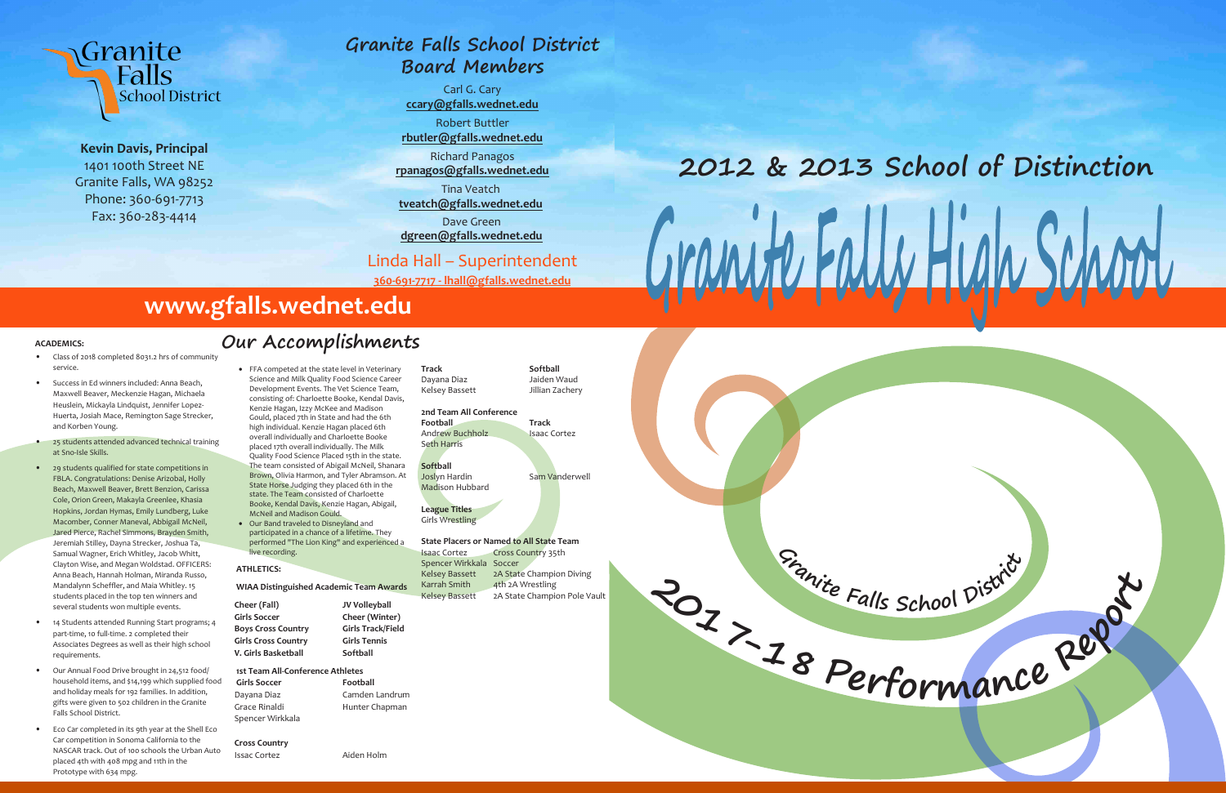



**Kevin Davis, Principal** 1401 100th Street NE Granite Falls, WA 98252 Phone: 360-691-7713 Fax: 360-283-4414

#### **ACADEMICS:**

- Class of 2018 completed 8031.2 hrs of community service.
- Success in Ed winners included: Anna Beach, Maxwell Beaver, Meckenzie Hagan, Michaela Heuslein, Mickayla Lindquist, Jennifer Lopez-Huerta, Josiah Mace, Remington Sage Strecker, and Korben Young.
- 25 students attended advanced technical training at Sno-Isle Skills.
- 29 students qualified for state competitions in FBLA. Congratulations: Denise Arizobal, Holly Beach, Maxwell Beaver, Brett Benzion, Carissa Cole, Orion Green, Makayla Greenlee, Khasia Hopkins, Jordan Hymas, Emily Lundberg, Luke Macomber, Conner Maneval, Abbigail McNeil, Jared Pierce, Rachel Simmons, Brayden Smith, Jeremiah Stilley, Dayna Strecker, Joshua Ta, Samual Wagner, Erich Whitley, Jacob Whitt, Clayton Wise, and Megan Woldstad. OFFICERS: Anna Beach, Hannah Holman, Miranda Russo, Mandalynn Scheffler, and Maia Whitley. 15 students placed in the top ten winners and several students won multiple events.
- 14 Students attended Running Start programs; 4 part-time, 10 full-time. 2 completed their Associates Degrees as well as their high school requirements.
- Our Annual Food Drive brought in 24,512 food/ household items, and \$14,199 which supplied food and holiday meals for 192 families. In addition, gifts were given to 502 children in the Granite Falls School District.
- Eco Car completed in its 9th year at the Shell Eco Car competition in Sonoma California to the NASCAR track. Out of 100 schools the Urban Auto placed 4th with 408 mpg and 11th in the Prototype with 634 mpg.

Andrew Buchholz Isaac Cortez Seth Harris

# **2012 & 2013 School of Distinction** GramfurallyHu



#### **ATHLETICS:**

 **WIAA Distinguished Academic Team Awards** 

**Cheer (Fall) JV Volleyball** Girls Soccer **Cheer (Winter) Boys Cross Country Girls Track/Field Girls Cross Country Girls Tennis V. Girls Basketball Softball**

 **1st Team All-Conference Athletes**  Girls Soccer **Football** Dayana Diaz Camden Landrum Grace Rinaldi Hunter Chapman Spencer Wirkkala

**Cross Country** Issac Cortez Aiden Holm Track Softball



#### **2nd Team All Conference**

**Softball**

Joslyn Hardin Sam Vanderwell

Madison Hubbard

#### **League Titles** Girls Wrestling

**State Placers or Named to All State Team** Isaac Cortez Cross Country 35th Spencer Wirkkala Soccer Kelsey Bassett 2A State Champion Diving Karrah Smith 4th 2A Wrestling Kelsey Bassett 2A State Champion Pole Vault

# **Our Accomplishments**

# **www.gfalls.wednet.edu**

# **Granite Falls School District Board Members**

Carl G. Cary **ccary@gfalls.wednet.edu** Robert Buttler **rbutler@gfalls.wednet.edu** Richard Panagos **rpanagos@gfalls.wednet.edu** Tina Veatch **tveatch@gfalls.wednet.edu**

Dave Green

**dgreen@gfalls.wednet.edu**

Linda Hall – Superintendent

**360-691-7717 - lhall@gfalls.wednet.edu**

• FFA competed at the state level in Veterinary Science and Milk Quality Food Science Career Development Events. The Vet Science Team, consisting of: Charloette Booke, Kendal Davis, Kenzie Hagan, Izzy McKee and Madison Gould, placed 7th in State and had the 6th high individual. Kenzie Hagan placed 6th overall individually and Charloette Booke placed 17th overall individually. The Milk Quality Food Science Placed 15th in the state. The team consisted of Abigail McNeil, Shanara Brown, Olivia Harmon, and Tyler Abramson. At State Horse Judging they placed 6th in the state. The Team consisted of Charloette Booke, Kendal Davis, Kenzie Hagan, Abigail, McNeil and Madison Gould. • Our Band traveled to Disneyland and

participated in a chance of a lifetime. They performed "The Lion King" and experienced a live recording.